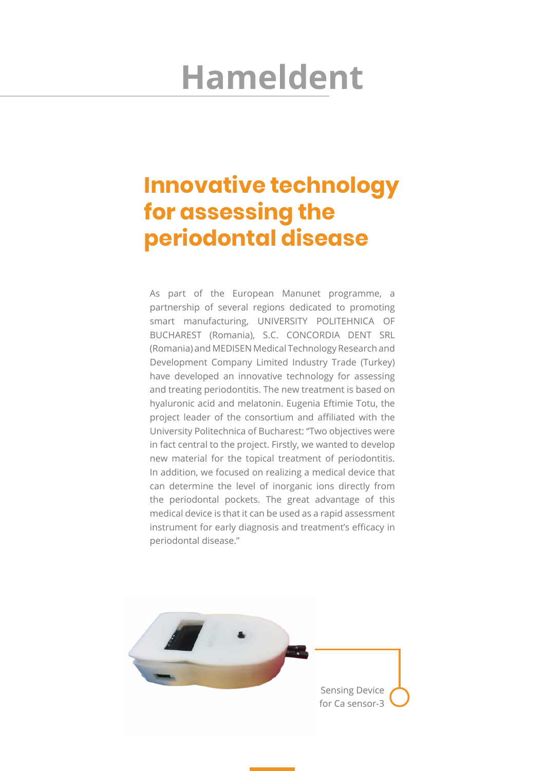# **Hameldent**

# **Innovative technology for assessing the periodontal disease**

As part of the European Manunet programme, a partnership of several regions dedicated to promoting smart manufacturing, UNIVERSITY POLITEHNICA OF BUCHAREST (Romania), S.C. CONCORDIA DENT SRL (Romania) and MEDISEN Medical Technology Research and Development Company Limited Industry Trade (Turkey) have developed an innovative technology for assessing and treating periodontitis. The new treatment is based on hyaluronic acid and melatonin. Eugenia Eftimie Totu, the project leader of the consortium and affiliated with the University Politechnica of Bucharest: "Two objectives were in fact central to the project. Firstly, we wanted to develop new material for the topical treatment of periodontitis. In addition, we focused on realizing a medical device that can determine the level of inorganic ions directly from the periodontal pockets. The great advantage of this medical device is that it can be used as a rapid assessment instrument for early diagnosis and treatment's efficacy in periodontal disease."

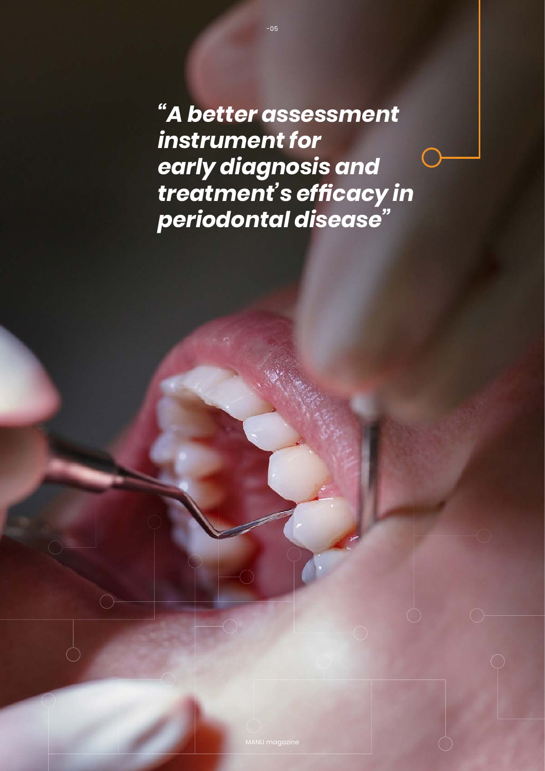*"A better assessment instrument for early diagnosis and treatment's efficacy in periodontal disease"*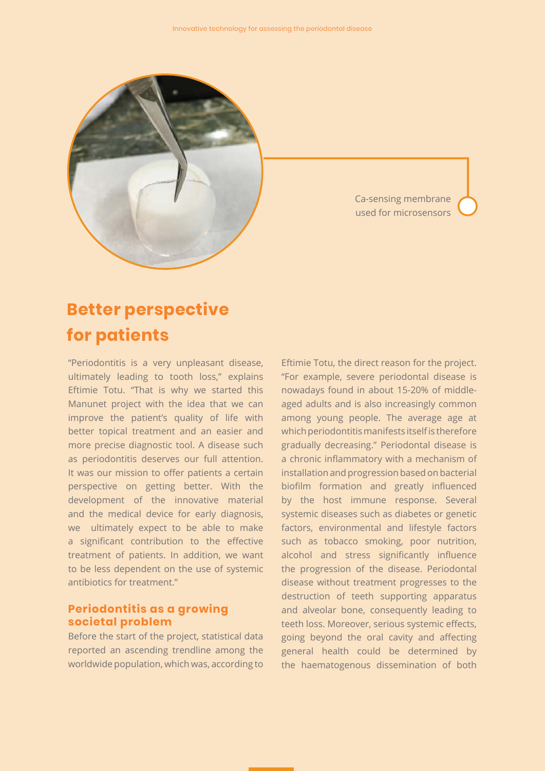

Ca-sensing membrane used for microsensors

## **Better perspective for patients**

"Periodontitis is a very unpleasant disease, ultimately leading to tooth loss," explains Eftimie Totu. "That is why we started this Manunet project with the idea that we can improve the patient's quality of life with better topical treatment and an easier and more precise diagnostic tool. A disease such as periodontitis deserves our full attention. It was our mission to offer patients a certain perspective on getting better. With the development of the innovative material and the medical device for early diagnosis, we ultimately expect to be able to make a significant contribution to the effective treatment of patients. In addition, we want to be less dependent on the use of systemic antibiotics for treatment."

#### **Periodontitis as a growing societal problem**

Before the start of the project, statistical data reported an ascending trendline among the worldwide population, which was, according to

Eftimie Totu, the direct reason for the project. "For example, severe periodontal disease is nowadays found in about 15-20% of middleaged adults and is also increasingly common among young people. The average age at which periodontitis manifests itself is therefore gradually decreasing." Periodontal disease is a chronic inflammatory with a mechanism of installation and progression based on bacterial biofilm formation and greatly influenced by the host immune response. Several systemic diseases such as diabetes or genetic factors, environmental and lifestyle factors such as tobacco smoking, poor nutrition, alcohol and stress significantly influence the progression of the disease. Periodontal disease without treatment progresses to the destruction of teeth supporting apparatus and alveolar bone, consequently leading to teeth loss. Moreover, serious systemic effects, going beyond the oral cavity and affecting general health could be determined by the haematogenous dissemination of both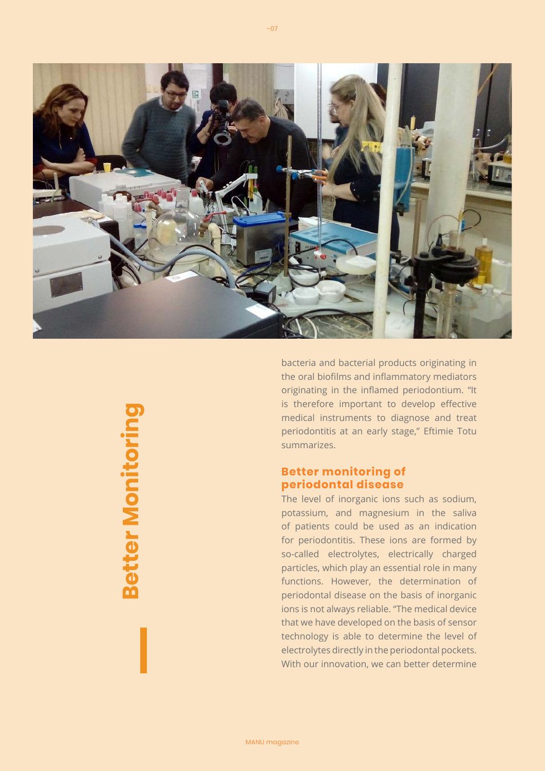

bacteria and bacterial products originating in the oral biofilms and inflammatory mediators originating in the inflamed periodontium. "It is therefore important to develop effective medical instruments to diagnose and treat periodontitis at an early stage," Eftimie Totu summarizes.

#### **Better monitoring of periodontal disease**

The level of inorganic ions such as sodium, potassium, and magnesium in the saliva of patients could be used as an indication for periodontitis. These ions are formed by so-called electrolytes, electrically charged particles, which play an essential role in many functions. However, the determination of periodontal disease on the basis of inorganic ions is not always reliable. "The medical device that we have developed on the basis of sensor technology is able to determine the level of electrolytes directly in the periodontal pockets. With our innovation, we can better determine

**Better MonitoringBetter Monitoring**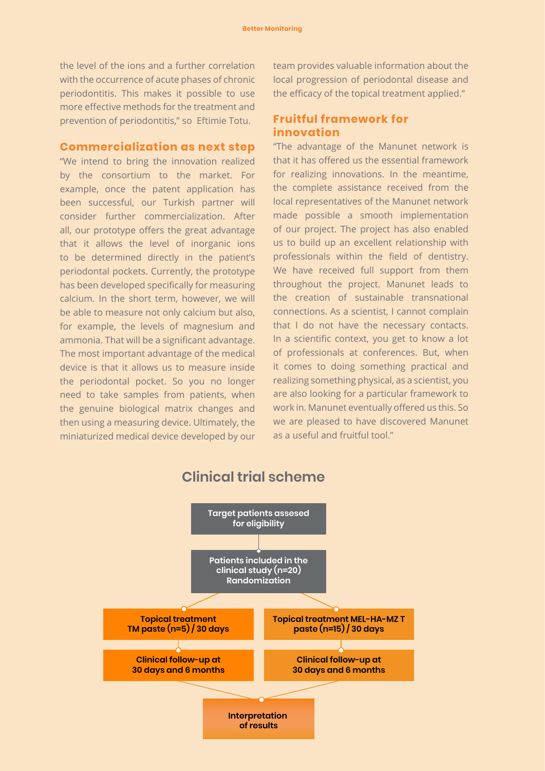the level of the ions and a further correlation with the occurrence of acute phases of chronic periodontitis. This makes it possible to use more effective methods for the treatment and prevention of periodontitis," so Eftimie Totu.

#### **Commercialization as next step**

"We intend to bring the innovation realized by the consortium to the market. For example, once the patent application has been successful, our Turkish partner will consider further commercialization. After all, our prototype offers the great advantage that it allows the level of inorganic ions to be determined directly in the patient's periodontal pockets. Currently, the prototype has been developed specifically for measuring calcium. In the short term, however, we will be able to measure not only calcium but also, for example, the levels of magnesium and ammonia. That will be a significant advantage. The most important advantage of the medical device is that it allows us to measure inside the periodontal pocket. So you no longer need to take samples from patients, when the genuine biological matrix changes and then using a measuring device. Ultimately, the miniaturized medical device developed by our team provides valuable information about the local progression of periodontal disease and the efficacy of the topical treatment applied."

#### **Fruitful framework for innovation**

"The advantage of the Manunet network is that it has offered us the essential framework for realizing innovations. In the meantime, the complete assistance received from the local representatives of the Manunet network made possible a smooth implementation of our project. The project has also enabled us to build up an excellent relationship with professionals within the field of dentistry. We have received full support from them throughout the project. Manunet leads to the creation of sustainable transnational connections. As a scientist, I cannot complain that I do not have the necessary contacts. In a scientific context, you get to know a lot of professionals at conferences. But, when it comes to doing something practical and realizing something physical, as a scientist, you are also looking for a particular framework to work in. Manunet eventually offered us this. So we are pleased to have discovered Manunet as a useful and fruitful tool."



#### **Clinical trial scheme**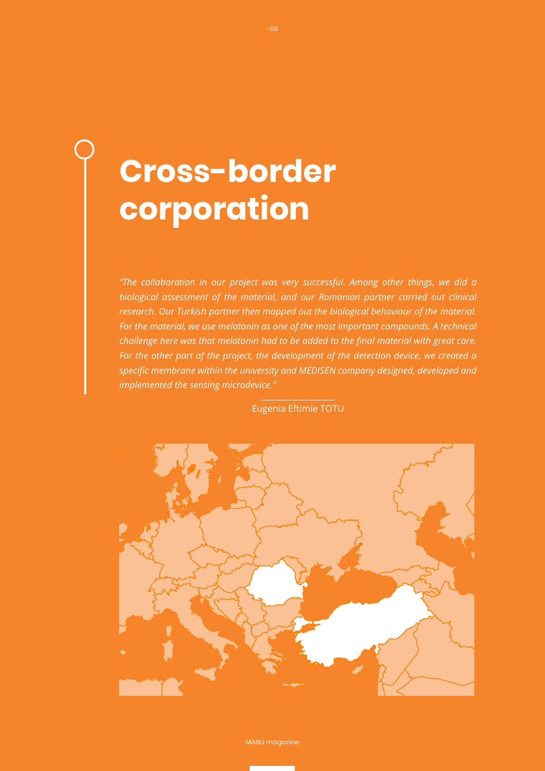# **Cross-border corporation**

*"The collaboration in our project was very successful. Among other things, we did a biological assessment of the material, and our Romanian partner carried out clinical research. Our Turkish partner then mapped out the biological behaviour of the material. For the material, we use melatonin as one of the most important compounds. A technical challenge here was that melatonin had to be added to the final material with great care. For the other part of the project, the development of the detection device, we created a specific membrane within the university and MEDISEN company designed, developed and implemented the sensing microdevice."* 

Eugenia Eftimie TOTU



MANU magazine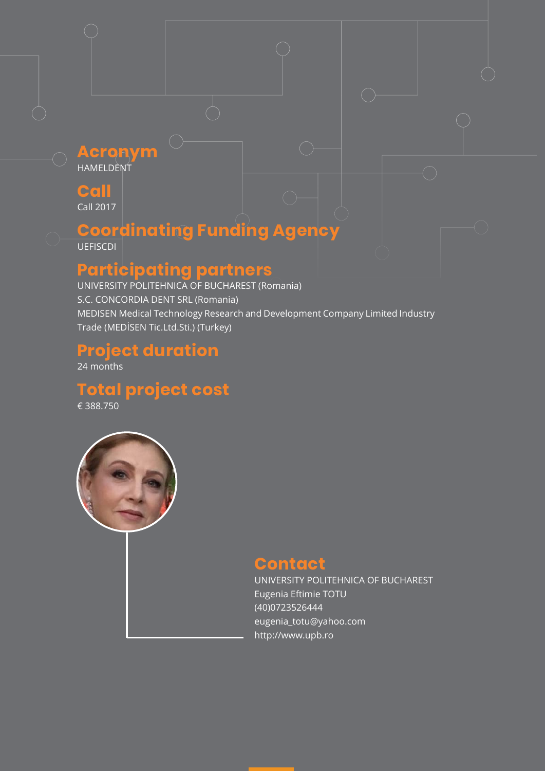#### **Acronym** HAMELDENT

**Call**

Call 2017

## **Coordinating Funding Agency**

**UEFISCDI** 

## **Participating partners**

UNIVERSITY POLITEHNICA OF BUCHAREST (Romania) S.C. CONCORDIA DENT SRL (Romania) MEDISEN Medical Technology Research and Development Company Limited Industry Trade (MEDİSEN Tic.Ltd.Sti.) (Turkey)

### **Project duration**

24 months

**Total project cost**

€ 388.750



### **Contact**

UNIVERSITY POLITEHNICA OF BUCHAREST Eugenia Eftimie TOTU (40)0723526444 eugenia\_totu@yahoo.com http://www.upb.ro